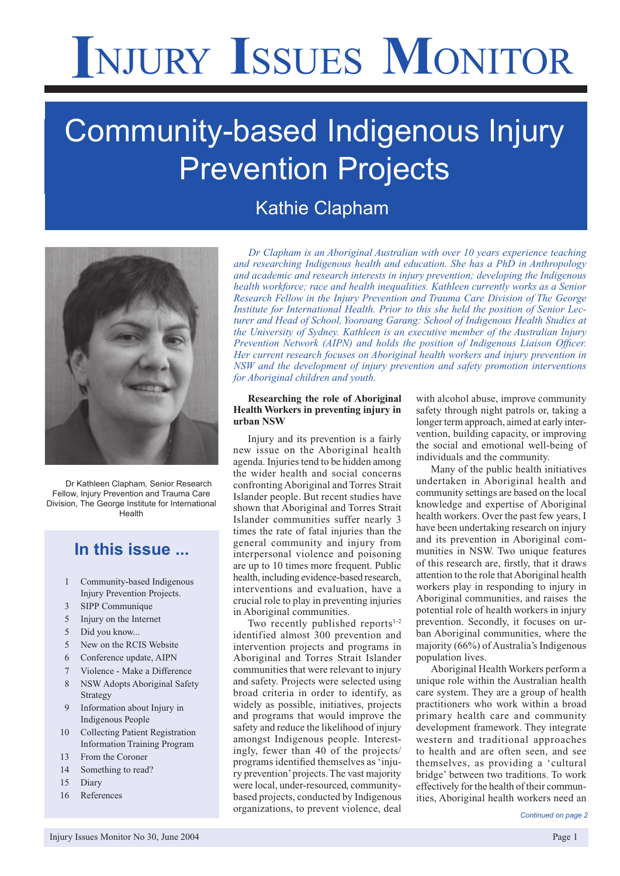# **I**NJURY **I**SSUES **M**ONITOR

## Community-based Indigenous Injury Prevention Projects

## Kathie Clapham



Dr Kathleen Clapham*,* Senior Research Fellow, Injury Prevention and Trauma Care Division, The George Institute for International Health

### **In this issue ...**

- 1 Community-based Indigenous Injury Prevention Projects.
- 3 SIPP Communique
- 5 Injury on the Internet
- 5 Did you know...
- 5 New on the RCIS Website
- 6 Conference update, AIPN
- 7 Violence Make a Difference
- 8 NSW Adopts Aboriginal Safety Strategy
- 9 Information about Injury in Indigenous People
- 10 Collecting Patient Registration Information Training Program
- 13 From the Coroner
- 14 Something to read?
- 15 Diary
- 16 References

*Dr Clapham is an Aboriginal Australian with over 10 years experience teaching and researching Indigenous health and education. She has a PhD in Anthropology and academic and research interests in injury prevention; developing the Indigenous health workforce; race and health inequalities. Kathleen currently works as a Senior Research Fellow in the Injury Prevention and Trauma Care Division of The George Institute for International Health. Prior to this she held the position of Senior Lecturer and Head of School, Yooroang Garang: School of Indigenous Health Studies at the University of Sydney. Kathleen is an executive member of the Australian Injury Prevention Network (AIPN) and holds the position of Indigenous Liaison Officer. Her current research focuses on Aboriginal health workers and injury prevention in NSW and the development of injury prevention and safety promotion interventions for Aboriginal children and youth.*

#### **Researching the role of Aboriginal Health Workers in preventing injury in urban NSW**

Injury and its prevention is a fairly new issue on the Aboriginal health agenda. Injuries tend to be hidden among the wider health and social concerns confronting Aboriginal and Torres Strait Islander people. But recent studies have shown that Aboriginal and Torres Strait Islander communities suffer nearly 3 times the rate of fatal injuries than the general community and injury from interpersonal violence and poisoning are up to 10 times more frequent. Public health, including evidence-based research, interventions and evaluation, have a crucial role to play in preventing injuries in Aboriginal communities.

Two recently published reports<sup>1-2</sup> identified almost 300 prevention and intervention projects and programs in Aboriginal and Torres Strait Islander communities that were relevant to injury and safety. Projects were selected using broad criteria in order to identify, as widely as possible, initiatives, projects and programs that would improve the safety and reduce the likelihood of injury amongst Indigenous people. Interestingly, fewer than 40 of the projects/ programs identified themselves as 'injury prevention' projects. The vast majority were local, under-resourced, communitybased projects, conducted by Indigenous organizations, to prevent violence, deal with alcohol abuse, improve community safety through night patrols or, taking a longer term approach, aimed at early intervention, building capacity, or improving the social and emotional well-being of individuals and the community.

Many of the public health initiatives undertaken in Aboriginal health and community settings are based on the local knowledge and expertise of Aboriginal health workers. Over the past few years, I have been undertaking research on injury and its prevention in Aboriginal communities in NSW. Two unique features of this research are, firstly, that it draws attention to the role that Aboriginal health workers play in responding to injury in Aboriginal communities, and raises the potential role of health workers in injury prevention. Secondly, it focuses on urban Aboriginal communities, where the majority (66%) of Australia's Indigenous population lives.

Aboriginal Health Workers perform a unique role within the Australian health care system. They are a group of health practitioners who work within a broad primary health care and community development framework. They integrate western and traditional approaches to health and are often seen, and see themselves, as providing a 'cultural bridge' between two traditions. To work effectively for the health of their communities, Aboriginal health workers need an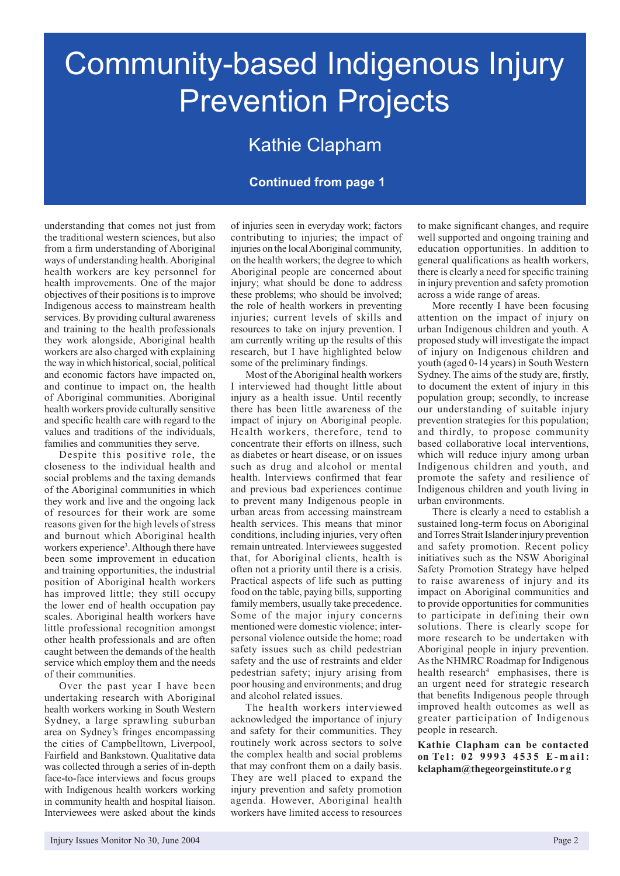## Community-based Indigenous Injury Prevention Projects

## Kathie Clapham

#### **Continued from page 1**

understanding that comes not just from the traditional western sciences, but also from a firm understanding of Aboriginal ways of understanding health. Aboriginal health workers are key personnel for health improvements. One of the major objectives of their positions is to improve Indigenous access to mainstream health services. By providing cultural awareness and training to the health professionals they work alongside, Aboriginal health workers are also charged with explaining the way in which historical, social, political and economic factors have impacted on, and continue to impact on, the health of Aboriginal communities. Aboriginal health workers provide culturally sensitive and specific health care with regard to the values and traditions of the individuals, families and communities they serve.

Despite this positive role, the closeness to the individual health and social problems and the taxing demands of the Aboriginal communities in which they work and live and the ongoing lack of resources for their work are some reasons given for the high levels of stress and burnout which Aboriginal health workers experience<sup>3</sup>. Although there have been some improvement in education and training opportunities, the industrial position of Aboriginal health workers has improved little; they still occupy the lower end of health occupation pay scales. Aboriginal health workers have little professional recognition amongst other health professionals and are often caught between the demands of the health service which employ them and the needs of their communities.

Over the past year I have been undertaking research with Aboriginal health workers working in South Western Sydney, a large sprawling suburban area on Sydney's fringes encompassing the cities of Campbelltown, Liverpool, Fairfield and Bankstown. Qualitative data was collected through a series of in-depth face-to-face interviews and focus groups with Indigenous health workers working in community health and hospital liaison. Interviewees were asked about the kinds

of injuries seen in everyday work; factors contributing to injuries; the impact of injuries on the local Aboriginal community, on the health workers; the degree to which Aboriginal people are concerned about injury; what should be done to address these problems; who should be involved; the role of health workers in preventing injuries; current levels of skills and resources to take on injury prevention. I am currently writing up the results of this research, but I have highlighted below some of the preliminary findings.

Most of the Aboriginal health workers I interviewed had thought little about injury as a health issue. Until recently there has been little awareness of the impact of injury on Aboriginal people. Health workers, therefore, tend to concentrate their efforts on illness, such as diabetes or heart disease, or on issues such as drug and alcohol or mental health. Interviews confirmed that fear and previous bad experiences continue to prevent many Indigenous people in urban areas from accessing mainstream health services. This means that minor conditions, including injuries, very often remain untreated. Interviewees suggested that, for Aboriginal clients, health is often not a priority until there is a crisis. Practical aspects of life such as putting food on the table, paying bills, supporting family members, usually take precedence. Some of the major injury concerns mentioned were domestic violence; interpersonal violence outside the home; road safety issues such as child pedestrian safety and the use of restraints and elder pedestrian safety; injury arising from poor housing and environments; and drug and alcohol related issues.

The health workers interviewed acknowledged the importance of injury and safety for their communities. They routinely work across sectors to solve the complex health and social problems that may confront them on a daily basis. They are well placed to expand the injury prevention and safety promotion agenda. However, Aboriginal health workers have limited access to resources

to make significant changes, and require well supported and ongoing training and education opportunities. In addition to general qualifications as health workers, there is clearly a need for specific training in injury prevention and safety promotion across a wide range of areas.

More recently I have been focusing attention on the impact of injury on urban Indigenous children and youth. A proposed study will investigate the impact of injury on Indigenous children and youth (aged 0-14 years) in South Western Sydney. The aims of the study are, firstly, to document the extent of injury in this population group; secondly, to increase our understanding of suitable injury prevention strategies for this population; and thirdly, to propose community based collaborative local interventions, which will reduce injury among urban Indigenous children and youth, and promote the safety and resilience of Indigenous children and youth living in urban environments.

There is clearly a need to establish a sustained long-term focus on Aboriginal and Torres Strait Islander injury prevention and safety promotion. Recent policy initiatives such as the NSW Aboriginal Safety Promotion Strategy have helped to raise awareness of injury and its impact on Aboriginal communities and to provide opportunities for communities to participate in defining their own solutions. There is clearly scope for more research to be undertaken with Aboriginal people in injury prevention. As the NHMRC Roadmap for Indigenous health research<sup>4</sup> emphasises, there is an urgent need for strategic research that benefits Indigenous people through improved health outcomes as well as greater participation of Indigenous people in research.

**Kathie Clapham can be contacted**  on Tel: 02 9993 4535 E-mail: **kclapham@thegeorgeinstitute.o r g**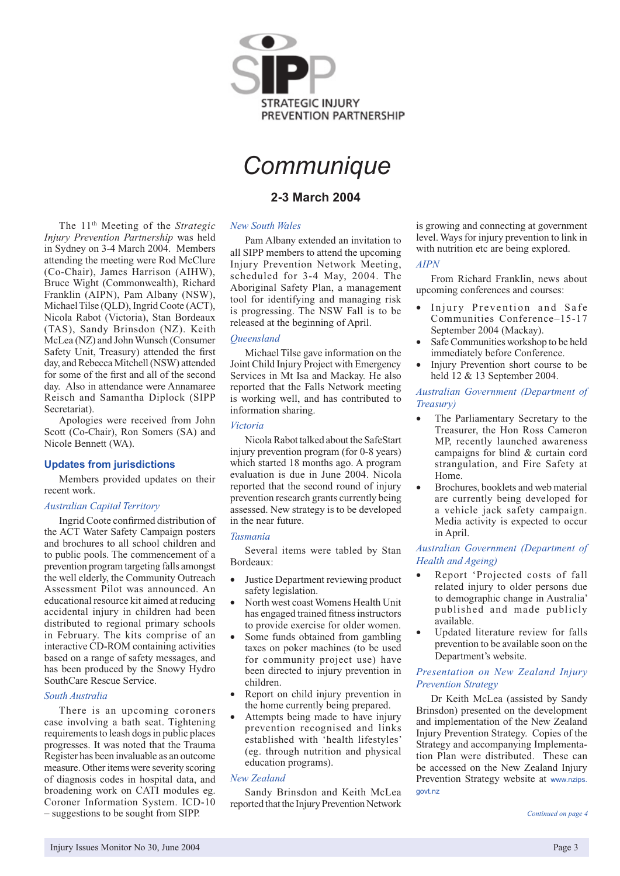

## *Communique*

#### **2-3 March 2004**

#### *New South Wales*

The 11th Meeting of the *Strategic Injury Prevention Partnership* was held in Sydney on 3-4 March 2004. Members attending the meeting were Rod McClure (Co-Chair), James Harrison (AIHW), Bruce Wight (Commonwealth), Richard Franklin (AIPN), Pam Albany (NSW), Michael Tilse (QLD), Ingrid Coote (ACT), Nicola Rabot (Victoria), Stan Bordeaux (TAS), Sandy Brinsdon (NZ). Keith McLea (NZ) and John Wunsch (Consumer Safety Unit, Treasury) attended the first day, and Rebecca Mitchell (NSW) attended for some of the first and all of the second day. Also in attendance were Annamaree Reisch and Samantha Diplock (SIPP

Apologies were received from John Scott (Co-Chair), Ron Somers (SA) and

Members provided updates on their

Ingrid Coote confirmed distribution of the ACT Water Safety Campaign posters and brochures to all school children and to public pools. The commencement of a prevention program targeting falls amongst the well elderly, the Community Outreach Assessment Pilot was announced. An educational resource kit aimed at reducing accidental injury in children had been distributed to regional primary schools in February. The kits comprise of an interactive CD-ROM containing activities based on a range of safety messages, and has been produced by the Snowy Hydro

Secretariat).

recent work.

Nicole Bennett (WA).

**Updates from jurisdictions**

*Australian Capital Territory*

SouthCare Rescue Service.

*South Australia*

Pam Albany extended an invitation to all SIPP members to attend the upcoming Injury Prevention Network Meeting, scheduled for 3-4 May, 2004. The Aboriginal Safety Plan, a management tool for identifying and managing risk is progressing. The NSW Fall is to be released at the beginning of April.

#### *Queensland*

Michael Tilse gave information on the Joint Child Injury Project with Emergency Services in Mt Isa and Mackay. He also reported that the Falls Network meeting is working well, and has contributed to information sharing.

#### *Victoria*

Nicola Rabot talked about the SafeStart injury prevention program (for 0-8 years) which started 18 months ago. A program evaluation is due in June 2004. Nicola reported that the second round of injury prevention research grants currently being assessed. New strategy is to be developed in the near future.

#### *Tasmania*

Several items were tabled by Stan Bordeaux:

- Justice Department reviewing product safety legislation.
- North west coast Womens Health Unit has engaged trained fitness instructors to provide exercise for older women.
- Some funds obtained from gambling taxes on poker machines (to be used for community project use) have been directed to injury prevention in children.
- Report on child injury prevention in the home currently being prepared.
- Attempts being made to have injury prevention recognised and links established with 'health lifestyles' (eg. through nutrition and physical education programs).

#### *New Zealand*

Sandy Brinsdon and Keith McLea reported that the Injury Prevention Network

is growing and connecting at government level. Ways for injury prevention to link in with nutrition etc are being explored.

#### *AIPN*

From Richard Franklin, news about upcoming conferences and courses:

- Injury Prevention and Safe Communities Conference–15-17 September 2004 (Mackay).
- Safe Communities workshop to be held immediately before Conference.
- Injury Prevention short course to be held 12 & 13 September 2004.

#### *Australian Government (Department of Treasury)*

- The Parliamentary Secretary to the Treasurer, the Hon Ross Cameron MP, recently launched awareness campaigns for blind & curtain cord strangulation, and Fire Safety at Home.
- Brochures, booklets and web material are currently being developed for a vehicle jack safety campaign. Media activity is expected to occur in April.

#### *Australian Government (Department of Health and Ageing)*

- Report 'Projected costs of fall related injury to older persons due to demographic change in Australia' published and made publicly available.
- Updated literature review for falls prevention to be available soon on the Department's website.

#### *Presentation on New Zealand Injury Prevention Strategy*

Dr Keith McLea (assisted by Sandy Brinsdon) presented on the development and implementation of the New Zealand Injury Prevention Strategy. Copies of the Strategy and accompanying Implementation Plan were distributed. These can be accessed on the New Zealand Injury Prevention Strategy website at www.nzips. govt.nz

There is an upcoming coroners case involving a bath seat. Tightening requirements to leash dogs in public places progresses. It was noted that the Trauma Register has been invaluable as an outcome measure. Other items were severity scoring of diagnosis codes in hospital data, and broadening work on CATI modules eg. Coroner Information System. ICD-10 – suggestions to be sought from SIPP.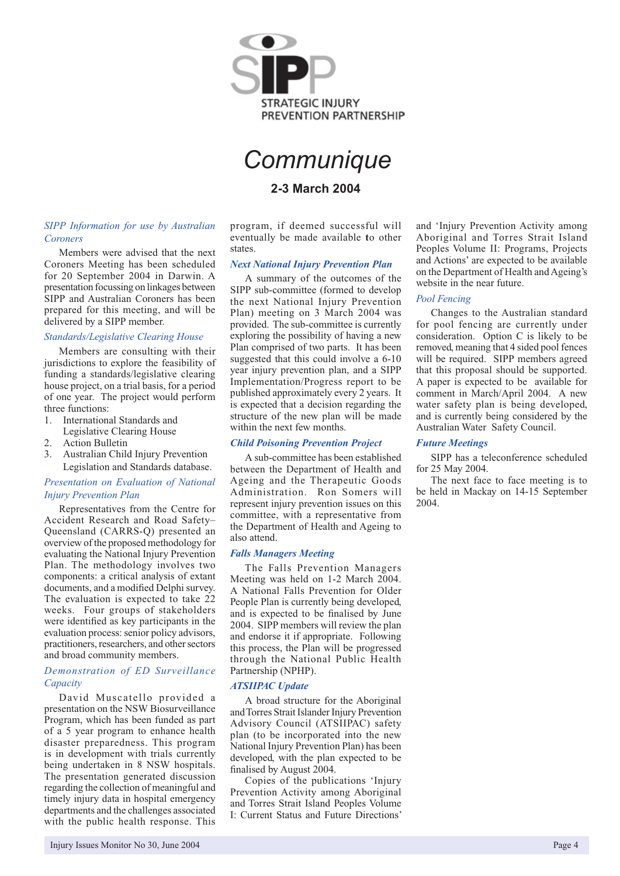

## *Communique*

#### **2-3 March 2004**

#### *SIPP Information for use by Australian Coroners*

Members were advised that the next Coroners Meeting has been scheduled for 20 September 2004 in Darwin. A presentation focussing on linkages between SIPP and Australian Coroners has been prepared for this meeting, and will be delivered by a SIPP member.

#### *Standards/Legislative Clearing House*

Members are consulting with their jurisdictions to explore the feasibility of funding a standards/legislative clearing house project, on a trial basis, for a period of one year. The project would perform three functions:

- 1. International Standards and
- Legislative Clearing House
- 2. Action Bulletin
- 3. Australian Child Injury Prevention Legislation and Standards database.

#### *Presentation on Evaluation of National Injury Prevention Plan*

Representatives from the Centre for Accident Research and Road Safety– Queensland (CARRS-Q) presented an overview of the proposed methodology for evaluating the National Injury Prevention Plan. The methodology involves two components: a critical analysis of extant documents, and a modified Delphi survey. The evaluation is expected to take 22 weeks. Four groups of stakeholders were identified as key participants in the evaluation process: senior policy advisors, practitioners, researchers, and other sectors and broad community members.

#### *Demonstration of ED Surveillance Capacity*

David Muscatello provided a presentation on the NSW Biosurveillance Program, which has been funded as part of a 5 year program to enhance health disaster preparedness. This program is in development with trials currently being undertaken in 8 NSW hospitals. The presentation generated discussion regarding the collection of meaningful and timely injury data in hospital emergency departments and the challenges associated with the public health response. This

program, if deemed successful will eventually be made available **t**o other states.

#### *Next National Injury Prevention Plan*

A summary of the outcomes of the SIPP sub-committee (formed to develop the next National Injury Prevention Plan) meeting on 3 March 2004 was provided. The sub-committee is currently exploring the possibility of having a new Plan comprised of two parts. It has been suggested that this could involve a 6-10 year injury prevention plan, and a SIPP Implementation/Progress report to be published approximately every 2 years. It is expected that a decision regarding the structure of the new plan will be made within the next few months.

#### *Child Poisoning Prevention Project*

A sub-committee has been established between the Department of Health and Ageing and the Therapeutic Goods Administration. Ron Somers will represent injury prevention issues on this committee, with a representative from the Department of Health and Ageing to also attend.

#### *Falls Managers Meeting*

The Falls Prevention Managers Meeting was held on 1-2 March 2004. A National Falls Prevention for Older People Plan is currently being developed, and is expected to be finalised by June 2004. SIPP members will review the plan and endorse it if appropriate. Following this process, the Plan will be progressed through the National Public Health Partnership (NPHP).

#### *ATSIIPAC Update*

A broad structure for the Aboriginal and Torres Strait Islander Injury Prevention Advisory Council (ATSIIPAC) safety plan (to be incorporated into the new National Injury Prevention Plan) has been developed, with the plan expected to be finalised by August 2004.

Copies of the publications 'Injury Prevention Activity among Aboriginal and Torres Strait Island Peoples Volume I: Current Status and Future Directions'

and 'Injury Prevention Activity among Aboriginal and Torres Strait Island Peoples Volume II: Programs, Projects and Actions' are expected to be available on the Department of Health and Ageing's website in the near future.

#### *Pool Fencing*

Changes to the Australian standard for pool fencing are currently under consideration. Option C is likely to be removed, meaning that 4 sided pool fences will be required. SIPP members agreed that this proposal should be supported. A paper is expected to be available for comment in March/April 2004. A new water safety plan is being developed, and is currently being considered by the Australian Water Safety Council.

#### *Future Meetings*

SIPP has a teleconference scheduled for 25 May 2004.

The next face to face meeting is to be held in Mackay on 14-15 September 2004.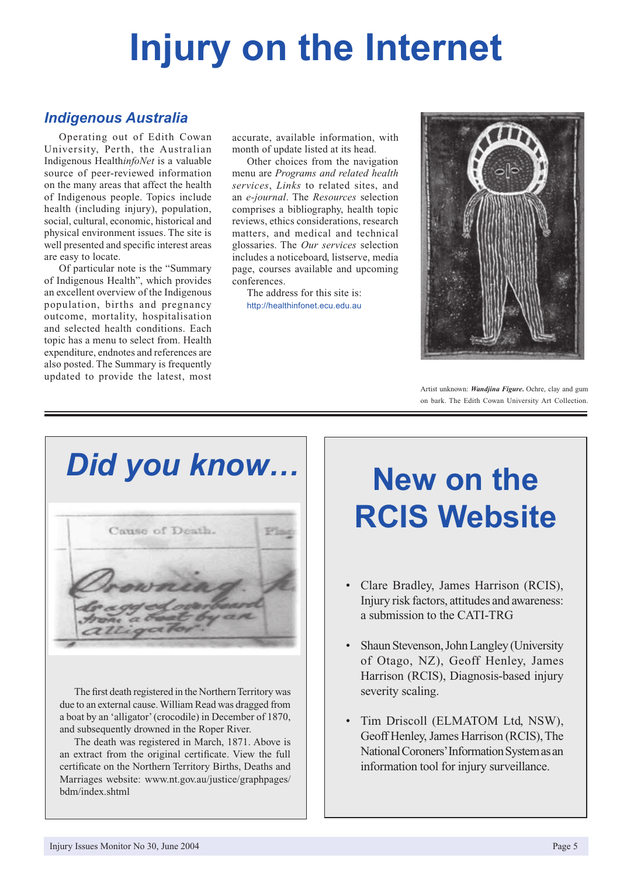# **Injury on the Internet**

### *Indigenous Australia*

Operating out of Edith Cowan University, Perth, the Australian Indigenous Health*infoNet* is a valuable source of peer-reviewed information on the many areas that affect the health of Indigenous people. Topics include health (including injury), population, social, cultural, economic, historical and physical environment issues. The site is well presented and specific interest areas are easy to locate.

Of particular note is the "Summary of Indigenous Health", which provides an excellent overview of the Indigenous population, births and pregnancy outcome, mortality, hospitalisation and selected health conditions. Each topic has a menu to select from. Health expenditure, endnotes and references are also posted. The Summary is frequently updated to provide the latest, most accurate, available information, with month of update listed at its head.

Other choices from the navigation menu are *Programs and related health services*, *Links* to related sites, and an *e-journal*. The *Resources* selection comprises a bibliography, health topic reviews, ethics considerations, research matters, and medical and technical glossaries. The *Our services* selection includes a noticeboard, listserve, media page, courses available and upcoming conferences.

The address for this site is: http://healthinfonet.ecu.edu.au



Artist unknown: *Wandjina Figure***.** Ochre, clay and gum on bark. The Edith Cowan University Art Collection.

*Did you know…*



The first death registered in the Northern Territory was due to an external cause. William Read was dragged from a boat by an 'alligator' (crocodile) in December of 1870, and subsequently drowned in the Roper River.

The death was registered in March, 1871. Above is an extract from the original certificate. View the full certificate on the Northern Territory Births, Deaths and Marriages website: www.nt.gov.au/justice/graphpages/ bdm/index.shtml

## **New on the RCIS Website**

- Clare Bradley, James Harrison (RCIS), Injury risk factors, attitudes and awareness: a submission to the CATI-TRG
- Shaun Stevenson, John Langley (University of Otago, NZ), Geoff Henley, James Harrison (RCIS), Diagnosis-based injury severity scaling.
- Tim Driscoll (ELMATOM Ltd, NSW), Geoff Henley, James Harrison (RCIS), The National Coroners' Information System as an information tool for injury surveillance.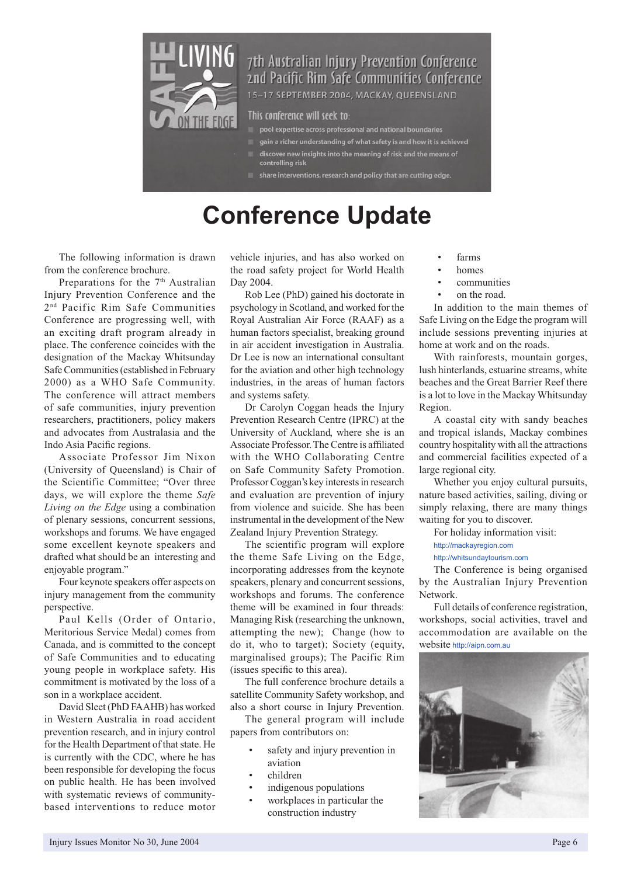

### 7th Australian Injury Prevention Conference and Pacific Rim Safe Communities Conference

15-17 SEPTEMBER 2004, MACKAY, QUEENSLAND

#### This conference will seek to:

- 
- gain a richer understanding of what safety is and how it is achieved
- discover new insights into the meaning of risk and the means of<br>controlling risk
- share interventions, research and policy that are cutting edge.

## **Conference Update**

The following information is drawn from the conference brochure.

Preparations for the  $7<sup>th</sup>$  Australian Injury Prevention Conference and the 2<sup>nd</sup> Pacific Rim Safe Communities Conference are progressing well, with an exciting draft program already in place. The conference coincides with the designation of the Mackay Whitsunday Safe Communities (established in February 2000) as a WHO Safe Community. The conference will attract members of safe communities, injury prevention researchers, practitioners, policy makers and advocates from Australasia and the Indo Asia Pacific regions.

Associate Professor Jim Nixon (University of Queensland) is Chair of the Scientific Committee; "Over three days, we will explore the theme *Safe Living on the Edge* using a combination of plenary sessions, concurrent sessions, workshops and forums. We have engaged some excellent keynote speakers and drafted what should be an interesting and enjoyable program."

Four keynote speakers offer aspects on injury management from the community perspective.

Paul Kells (Order of Ontario, Meritorious Service Medal) comes from Canada, and is committed to the concept of Safe Communities and to educating young people in workplace safety. His commitment is motivated by the loss of a son in a workplace accident.

David Sleet (PhD FAAHB) has worked in Western Australia in road accident prevention research, and in injury control for the Health Department of that state. He is currently with the CDC, where he has been responsible for developing the focus on public health. He has been involved with systematic reviews of communitybased interventions to reduce motor

vehicle injuries, and has also worked on the road safety project for World Health Day 2004.

Rob Lee (PhD) gained his doctorate in psychology in Scotland, and worked for the Royal Australian Air Force (RAAF) as a human factors specialist, breaking ground in air accident investigation in Australia. Dr Lee is now an international consultant for the aviation and other high technology industries, in the areas of human factors and systems safety.

Dr Carolyn Coggan heads the Injury Prevention Research Centre (IPRC) at the University of Auckland, where she is an Associate Professor. The Centre is affiliated with the WHO Collaborating Centre on Safe Community Safety Promotion. Professor Coggan's key interests in research and evaluation are prevention of injury from violence and suicide. She has been instrumental in the development of the New Zealand Injury Prevention Strategy.

The scientific program will explore the theme Safe Living on the Edge, incorporating addresses from the keynote speakers, plenary and concurrent sessions, workshops and forums. The conference theme will be examined in four threads: Managing Risk (researching the unknown, attempting the new); Change (how to do it, who to target); Society (equity, marginalised groups); The Pacific Rim (issues specific to this area).

The full conference brochure details a satellite Community Safety workshop, and also a short course in Injury Prevention.

The general program will include papers from contributors on:

- safety and injury prevention in aviation
- children
- indigenous populations
- workplaces in particular the construction industry
- farms
- homes
- communities
- on the road.

In addition to the main themes of Safe Living on the Edge the program will include sessions preventing injuries at home at work and on the roads.

With rainforests, mountain gorges, lush hinterlands, estuarine streams, white beaches and the Great Barrier Reef there is a lot to love in the Mackay Whitsunday Region.

A coastal city with sandy beaches and tropical islands, Mackay combines country hospitality with all the attractions and commercial facilities expected of a large regional city.

Whether you enjoy cultural pursuits, nature based activities, sailing, diving or simply relaxing, there are many things waiting for you to discover.

For holiday information visit:

#### http://mackayregion.com

http://whitsundaytourism.com

The Conference is being organised by the Australian Injury Prevention Network.

Full details of conference registration, workshops, social activities, travel and accommodation are available on the website http://aipn.com.au

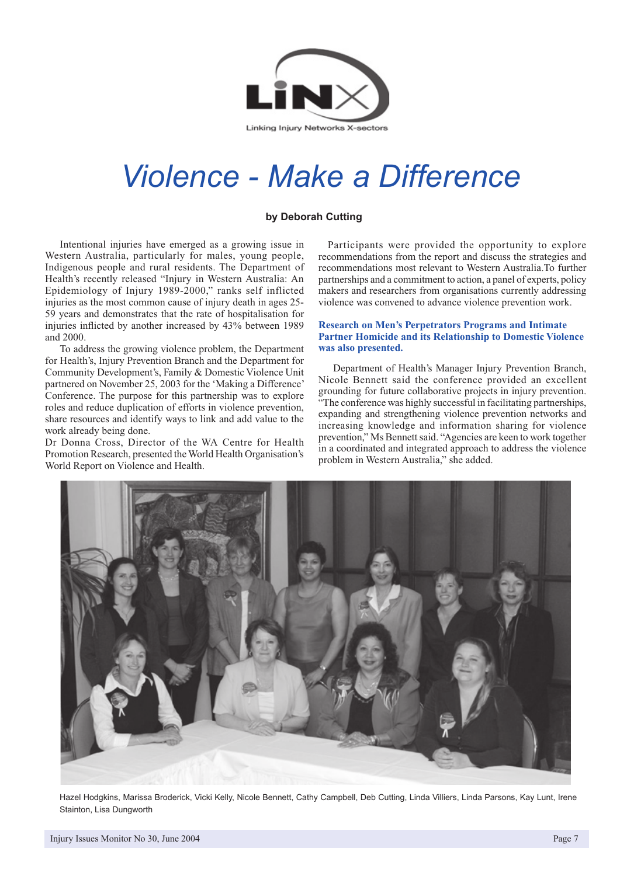

## *Violence - Make a Difference*

#### **by Deborah Cutting**

Intentional injuries have emerged as a growing issue in Western Australia, particularly for males, young people, Indigenous people and rural residents. The Department of Health's recently released "Injury in Western Australia: An Epidemiology of Injury 1989-2000," ranks self inflicted injuries as the most common cause of injury death in ages 25- 59 years and demonstrates that the rate of hospitalisation for injuries inflicted by another increased by 43% between 1989 and 2000.

To address the growing violence problem, the Department for Health's, Injury Prevention Branch and the Department for Community Development's, Family & Domestic Violence Unit partnered on November 25, 2003 for the 'Making a Difference' Conference. The purpose for this partnership was to explore roles and reduce duplication of efforts in violence prevention, share resources and identify ways to link and add value to the work already being done.

Dr Donna Cross, Director of the WA Centre for Health Promotion Research, presented the World Health Organisation's World Report on Violence and Health.

 Participants were provided the opportunity to explore recommendations from the report and discuss the strategies and recommendations most relevant to Western Australia.To further partnerships and a commitment to action, a panel of experts, policy makers and researchers from organisations currently addressing violence was convened to advance violence prevention work.

#### **Research on Men's Perpetrators Programs and Intimate Partner Homicide and its Relationship to Domestic Violence was also presented.**

Department of Health's Manager Injury Prevention Branch, Nicole Bennett said the conference provided an excellent grounding for future collaborative projects in injury prevention. "The conference was highly successful in facilitating partnerships, expanding and strengthening violence prevention networks and increasing knowledge and information sharing for violence prevention," Ms Bennett said. "Agencies are keen to work together in a coordinated and integrated approach to address the violence problem in Western Australia," she added.



Hazel Hodgkins, Marissa Broderick, Vicki Kelly, Nicole Bennett, Cathy Campbell, Deb Cutting, Linda Villiers, Linda Parsons, Kay Lunt, Irene Stainton, Lisa Dungworth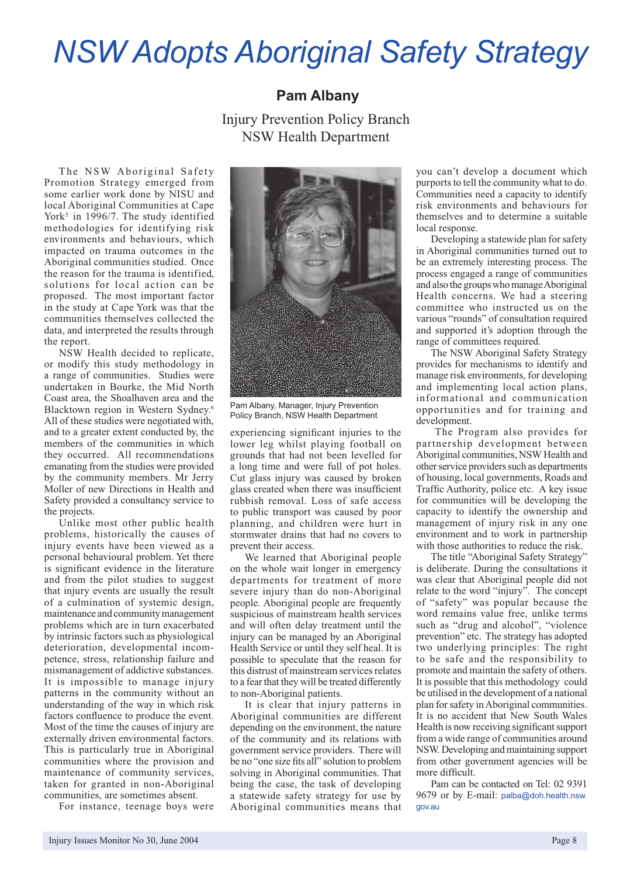## *NSW Adopts Aboriginal Safety Strategy*

#### **Pam Albany**

Injury Prevention Policy Branch NSW Health Department

The NSW Aboriginal Safety Promotion Strategy emerged from some earlier work done by NISU and local Aboriginal Communities at Cape York<sup>5</sup> in 1996/7. The study identified methodologies for identifying risk environments and behaviours, which impacted on trauma outcomes in the Aboriginal communities studied. Once the reason for the trauma is identified, solutions for local action can be proposed. The most important factor in the study at Cape York was that the communities themselves collected the data, and interpreted the results through the report.

NSW Health decided to replicate, or modify this study methodology in a range of communities. Studies were undertaken in Bourke, the Mid North Coast area, the Shoalhaven area and the Blacktown region in Western Sydney.6 All of these studies were negotiated with, and to a greater extent conducted by, the members of the communities in which they occurred. All recommendations emanating from the studies were provided by the community members. Mr Jerry Moller of new Directions in Health and Safety provided a consultancy service to the projects.

Unlike most other public health problems, historically the causes of injury events have been viewed as a personal behavioural problem. Yet there is significant evidence in the literature and from the pilot studies to suggest that injury events are usually the result of a culmination of systemic design, maintenance and community management problems which are in turn exacerbated by intrinsic factors such as physiological deterioration, developmental incompetence, stress, relationship failure and mismanagement of addictive substances. It is impossible to manage injury patterns in the community without an understanding of the way in which risk factors confluence to produce the event. Most of the time the causes of injury are externally driven environmental factors. This is particularly true in Aboriginal communities where the provision and maintenance of community services, taken for granted in non-Aboriginal communities, are sometimes absent.

For instance, teenage boys were



Pam Albany, Manager, Injury Prevention Policy Branch, NSW Health Department

experiencing significant injuries to the lower leg whilst playing football on grounds that had not been levelled for a long time and were full of pot holes. Cut glass injury was caused by broken glass created when there was insufficient rubbish removal. Loss of safe access to public transport was caused by poor planning, and children were hurt in stormwater drains that had no covers to prevent their access.

We learned that Aboriginal people on the whole wait longer in emergency departments for treatment of more severe injury than do non-Aboriginal people. Aboriginal people are frequently suspicious of mainstream health services and will often delay treatment until the injury can be managed by an Aboriginal Health Service or until they self heal. It is possible to speculate that the reason for this distrust of mainstream services relates to a fear that they will be treated differently to non-Aboriginal patients.

It is clear that injury patterns in Aboriginal communities are different depending on the environment, the nature of the community and its relations with government service providers. There will be no "one size fits all" solution to problem solving in Aboriginal communities. That being the case, the task of developing a statewide safety strategy for use by Aboriginal communities means that

you can't develop a document which purports to tell the community what to do. Communities need a capacity to identify risk environments and behaviours for themselves and to determine a suitable local response.

Developing a statewide plan for safety in Aboriginal communities turned out to be an extremely interesting process. The process engaged a range of communities and also the groups who manage Aboriginal Health concerns. We had a steering committee who instructed us on the various "rounds" of consultation required and supported it's adoption through the range of committees required.

The NSW Aboriginal Safety Strategy provides for mechanisms to identify and manage risk environments, for developing and implementing local action plans, informational and communication opportunities and for training and development.

 The Program also provides for partnership development between Aboriginal communities, NSW Health and other service providers such as departments of housing, local governments, Roads and Traffic Authority, police etc. A key issue for communities will be developing the capacity to identify the ownership and management of injury risk in any one environment and to work in partnership with those authorities to reduce the risk.

The title "Aboriginal Safety Strategy" is deliberate. During the consultations it was clear that Aboriginal people did not relate to the word "injury". The concept of "safety" was popular because the word remains value free, unlike terms such as "drug and alcohol", "violence prevention" etc. The strategy has adopted two underlying principles: The right to be safe and the responsibility to promote and maintain the safety of others. It is possible that this methodology could be utilised in the development of a national plan for safety in Aboriginal communities. It is no accident that New South Wales Health is now receiving significant support from a wide range of communities around NSW. Developing and maintaining support from other government agencies will be more difficult.

Pam can be contacted on Tel: 02 9391 9679 or by E-mail: palba@doh.health.nsw. gov.au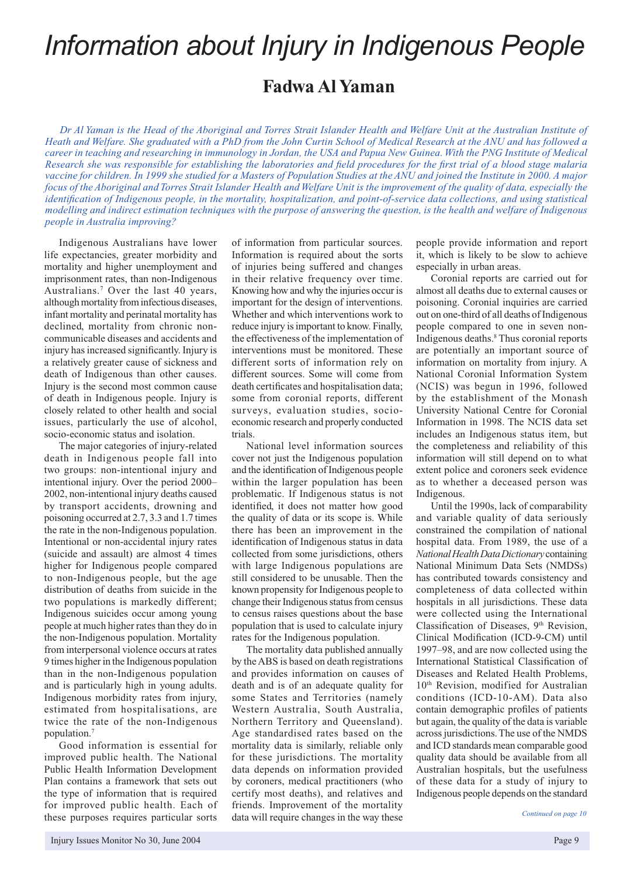## *Information about Injury in Indigenous People*

### **Fadwa Al Yaman**

*Dr Al Yaman is the Head of the Aboriginal and Torres Strait Islander Health and Welfare Unit at the Australian Institute of Heath and Welfare. She graduated with a PhD from the John Curtin School of Medical Research at the ANU and has followed a career in teaching and researching in immunology in Jordan, the USA and Papua New Guinea. With the PNG Institute of Medical Research she was responsible for establishing the laboratories and field procedures for the first trial of a blood stage malaria vaccine for children. In 1999 she studied for a Masters of Population Studies at the ANU and joined the Institute in 2000. A major focus of the Aboriginal and Torres Strait Islander Health and Welfare Unit is the improvement of the quality of data, especially the identification of Indigenous people, in the mortality, hospitalization, and point-of-service data collections, and using statistical modelling and indirect estimation techniques with the purpose of answering the question, is the health and welfare of Indigenous people in Australia improving?*

Indigenous Australians have lower life expectancies, greater morbidity and mortality and higher unemployment and imprisonment rates, than non-Indigenous Australians.7 Over the last 40 years, although mortality from infectious diseases, infant mortality and perinatal mortality has declined, mortality from chronic noncommunicable diseases and accidents and injury has increased significantly. Injury is a relatively greater cause of sickness and death of Indigenous than other causes. Injury is the second most common cause of death in Indigenous people. Injury is closely related to other health and social issues, particularly the use of alcohol, socio-economic status and isolation.

The major categories of injury-related death in Indigenous people fall into two groups: non-intentional injury and intentional injury. Over the period 2000– 2002, non-intentional injury deaths caused by transport accidents, drowning and poisoning occurred at 2.7, 3.3 and 1.7 times the rate in the non-Indigenous population. Intentional or non-accidental injury rates (suicide and assault) are almost 4 times higher for Indigenous people compared to non-Indigenous people, but the age distribution of deaths from suicide in the two populations is markedly different; Indigenous suicides occur among young people at much higher rates than they do in the non-Indigenous population. Mortality from interpersonal violence occurs at rates 9 times higher in the Indigenous population than in the non-Indigenous population and is particularly high in young adults. Indigenous morbidity rates from injury, estimated from hospitalisations, are twice the rate of the non-Indigenous population.7

Good information is essential for improved public health. The National Public Health Information Development Plan contains a framework that sets out the type of information that is required for improved public health. Each of these purposes requires particular sorts

of information from particular sources. Information is required about the sorts of injuries being suffered and changes in their relative frequency over time. Knowing how and why the injuries occur is important for the design of interventions. Whether and which interventions work to reduce injury is important to know. Finally, the effectiveness of the implementation of interventions must be monitored. These different sorts of information rely on different sources. Some will come from death certificates and hospitalisation data; some from coronial reports, different surveys, evaluation studies, socioeconomic research and properly conducted trials.

National level information sources cover not just the Indigenous population and the identification of Indigenous people within the larger population has been problematic. If Indigenous status is not identified, it does not matter how good the quality of data or its scope is. While there has been an improvement in the identification of Indigenous status in data collected from some jurisdictions, others with large Indigenous populations are still considered to be unusable. Then the known propensity for Indigenous people to change their Indigenous status from census to census raises questions about the base population that is used to calculate injury rates for the Indigenous population.

The mortality data published annually by the ABS is based on death registrations and provides information on causes of death and is of an adequate quality for some States and Territories (namely Western Australia, South Australia, Northern Territory and Queensland). Age standardised rates based on the mortality data is similarly, reliable only for these jurisdictions. The mortality data depends on information provided by coroners, medical practitioners (who certify most deaths), and relatives and friends. Improvement of the mortality data will require changes in the way these

people provide information and report it, which is likely to be slow to achieve especially in urban areas.

Coronial reports are carried out for almost all deaths due to external causes or poisoning. Coronial inquiries are carried out on one-third of all deaths of Indigenous people compared to one in seven non-Indigenous deaths.8 Thus coronial reports are potentially an important source of information on mortality from injury. A National Coronial Information System (NCIS) was begun in 1996, followed by the establishment of the Monash University National Centre for Coronial Information in 1998. The NCIS data set includes an Indigenous status item, but the completeness and reliability of this information will still depend on to what extent police and coroners seek evidence as to whether a deceased person was Indigenous.

Until the 1990s, lack of comparability and variable quality of data seriously constrained the compilation of national hospital data. From 1989, the use of a *National Health Data Dictionary*containing National Minimum Data Sets (NMDSs) has contributed towards consistency and completeness of data collected within hospitals in all jurisdictions. These data were collected using the International Classification of Diseases, 9<sup>th</sup> Revision, Clinical Modification (ICD-9-CM) until 1997–98, and are now collected using the International Statistical Classification of Diseases and Related Health Problems, 10<sup>th</sup> Revision, modified for Australian conditions (ICD-10-AM). Data also contain demographic profiles of patients but again, the quality of the data is variable across jurisdictions. The use of the NMDS and ICD standards mean comparable good quality data should be available from all Australian hospitals, but the usefulness of these data for a study of injury to Indigenous people depends on the standard

*Continued on page 10*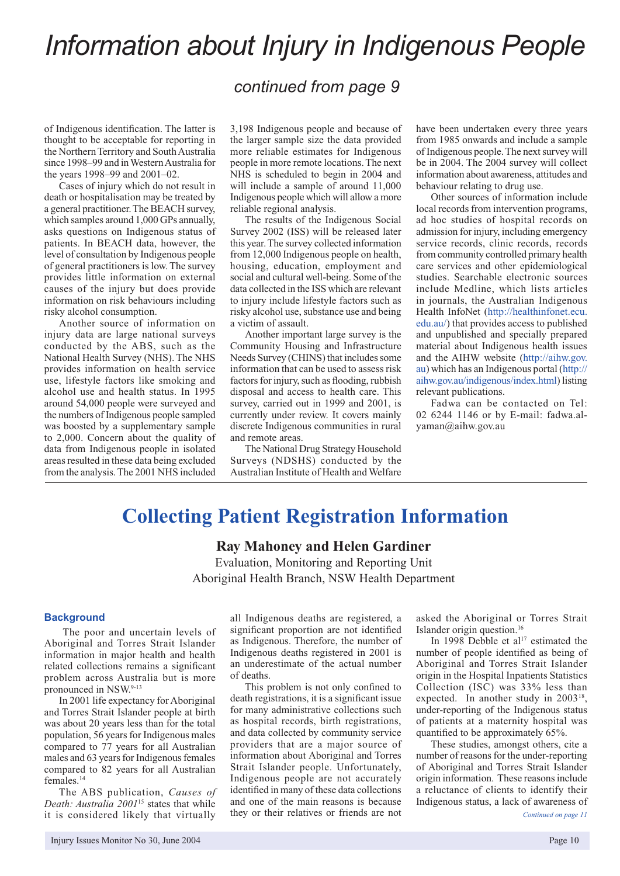## *Information about Injury in Indigenous People*

### *continued from page 9*

of Indigenous identification. The latter is thought to be acceptable for reporting in the Northern Territory and South Australia since 1998–99 and in Western Australia for the years 1998–99 and 2001–02.

Cases of injury which do not result in death or hospitalisation may be treated by a general practitioner. The BEACH survey, which samples around 1,000 GPs annually, asks questions on Indigenous status of patients. In BEACH data, however, the level of consultation by Indigenous people of general practitioners is low. The survey provides little information on external causes of the injury but does provide information on risk behaviours including risky alcohol consumption.

Another source of information on injury data are large national surveys conducted by the ABS, such as the National Health Survey (NHS). The NHS provides information on health service use, lifestyle factors like smoking and alcohol use and health status. In 1995 around 54,000 people were surveyed and the numbers of Indigenous people sampled was boosted by a supplementary sample to 2,000. Concern about the quality of data from Indigenous people in isolated areas resulted in these data being excluded from the analysis. The 2001 NHS included 3,198 Indigenous people and because of the larger sample size the data provided more reliable estimates for Indigenous people in more remote locations. The next NHS is scheduled to begin in 2004 and will include a sample of around 11,000 Indigenous people which will allow a more reliable regional analysis.

The results of the Indigenous Social Survey 2002 (ISS) will be released later this year. The survey collected information from 12,000 Indigenous people on health, housing, education, employment and social and cultural well-being. Some of the data collected in the ISS which are relevant to injury include lifestyle factors such as risky alcohol use, substance use and being a victim of assault.

Another important large survey is the Community Housing and Infrastructure Needs Survey (CHINS) that includes some information that can be used to assess risk factors for injury, such as flooding, rubbish disposal and access to health care. This survey, carried out in 1999 and 2001, is currently under review. It covers mainly discrete Indigenous communities in rural and remote areas.

The National Drug Strategy Household Surveys (NDSHS) conducted by the Australian Institute of Health and Welfare have been undertaken every three years from 1985 onwards and include a sample of Indigenous people. The next survey will be in 2004. The 2004 survey will collect information about awareness, attitudes and behaviour relating to drug use.

Other sources of information include local records from intervention programs, ad hoc studies of hospital records on admission for injury, including emergency service records, clinic records, records from community controlled primary health care services and other epidemiological studies. Searchable electronic sources include Medline, which lists articles in journals, the Australian Indigenous Health InfoNet (http://healthinfonet.ecu. edu.au/) that provides access to published and unpublished and specially prepared material about Indigenous health issues and the AIHW website (http://aihw.gov. au) which has an Indigenous portal (http:// aihw.gov.au/indigenous/index.html) listing relevant publications.

Fadwa can be contacted on Tel: 02 6244 1146 or by E-mail: fadwa.alyaman@aihw.gov.au

### **Collecting Patient Registration Information**

**Ray Mahoney and Helen Gardiner**

Evaluation, Monitoring and Reporting Unit Aboriginal Health Branch, NSW Health Department

#### **Background**

 The poor and uncertain levels of Aboriginal and Torres Strait Islander information in major health and health related collections remains a significant problem across Australia but is more pronounced in NSW.9-13

In 2001 life expectancy for Aboriginal and Torres Strait Islander people at birth was about 20 years less than for the total population, 56 years for Indigenous males compared to 77 years for all Australian males and 63 years for Indigenous females compared to 82 years for all Australian females.14

The ABS publication, *Causes of Death: Australia 2001*15 states that while it is considered likely that virtually

all Indigenous deaths are registered, a significant proportion are not identified as Indigenous. Therefore, the number of Indigenous deaths registered in 2001 is an underestimate of the actual number of deaths.

This problem is not only confined to death registrations, it is a significant issue for many administrative collections such as hospital records, birth registrations, and data collected by community service providers that are a major source of information about Aboriginal and Torres Strait Islander people. Unfortunately, Indigenous people are not accurately identified in many of these data collections and one of the main reasons is because they or their relatives or friends are not asked the Aboriginal or Torres Strait Islander origin question.16

In 1998 Debble et al<sup>17</sup> estimated the number of people identified as being of Aboriginal and Torres Strait Islander origin in the Hospital Inpatients Statistics Collection (ISC) was 33% less than expected. In another study in 2003<sup>18</sup>, under-reporting of the Indigenous status of patients at a maternity hospital was quantified to be approximately 65%.

These studies, amongst others, cite a number of reasons for the under-reporting of Aboriginal and Torres Strait Islander origin information. These reasons include a reluctance of clients to identify their Indigenous status, a lack of awareness of *Continued on page 11*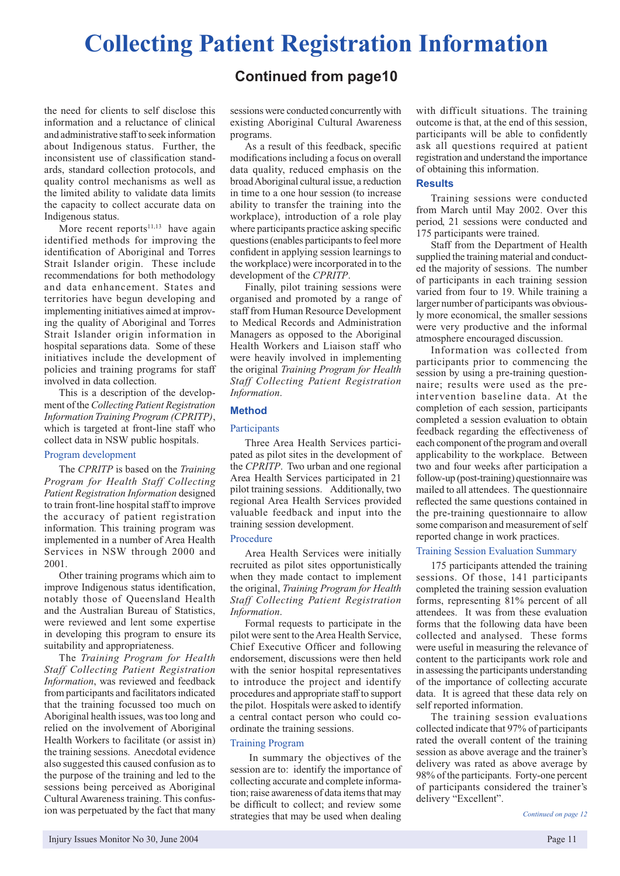## **Collecting Patient Registration Information**

the need for clients to self disclose this information and a reluctance of clinical and administrative staff to seek information about Indigenous status. Further, the inconsistent use of classification standards, standard collection protocols, and quality control mechanisms as well as the limited ability to validate data limits the capacity to collect accurate data on Indigenous status.

More recent reports $11,13$  have again identified methods for improving the identification of Aboriginal and Torres Strait Islander origin. These include recommendations for both methodology and data enhancement. States and territories have begun developing and implementing initiatives aimed at improving the quality of Aboriginal and Torres Strait Islander origin information in hospital separations data. Some of these initiatives include the development of policies and training programs for staff involved in data collection.

This is a description of the development of the *Collecting Patient Registration Information Training Program (CPRITP)*, which is targeted at front-line staff who collect data in NSW public hospitals.

#### Program development

The *CPRITP* is based on the *Training Program for Health Staff Collecting Patient Registration Information* designed to train front-line hospital staff to improve the accuracy of patient registration information*.* This training program was implemented in a number of Area Health Services in NSW through 2000 and 2001.

Other training programs which aim to improve Indigenous status identification, notably those of Queensland Health and the Australian Bureau of Statistics, were reviewed and lent some expertise in developing this program to ensure its suitability and appropriateness.

The *Training Program for Health Staff Collecting Patient Registration Information*, was reviewed and feedback from participants and facilitators indicated that the training focussed too much on Aboriginal health issues, was too long and relied on the involvement of Aboriginal Health Workers to facilitate (or assist in) the training sessions. Anecdotal evidence also suggested this caused confusion as to the purpose of the training and led to the sessions being perceived as Aboriginal Cultural Awareness training. This confusion was perpetuated by the fact that many

### **Continued from page10**

sessions were conducted concurrently with existing Aboriginal Cultural Awareness programs.

As a result of this feedback, specific modifications including a focus on overall data quality, reduced emphasis on the broad Aboriginal cultural issue, a reduction in time to a one hour session (to increase ability to transfer the training into the workplace), introduction of a role play where participants practice asking specific questions (enables participants to feel more confident in applying session learnings to the workplace) were incorporated in to the development of the *CPRITP*.

Finally, pilot training sessions were organised and promoted by a range of staff from Human Resource Development to Medical Records and Administration Managers as opposed to the Aboriginal Health Workers and Liaison staff who were heavily involved in implementing the original *Training Program for Health Staff Collecting Patient Registration Information*.

#### **Method**

#### **Participants**

Three Area Health Services participated as pilot sites in the development of the *CPRITP*. Two urban and one regional Area Health Services participated in 21 pilot training sessions. Additionally, two regional Area Health Services provided valuable feedback and input into the training session development.

#### Procedure

Area Health Services were initially recruited as pilot sites opportunistically when they made contact to implement the original, *Training Program for Health Staff Collecting Patient Registration Information*.

Formal requests to participate in the pilot were sent to the Area Health Service, Chief Executive Officer and following endorsement, discussions were then held with the senior hospital representatives to introduce the project and identify procedures and appropriate staff to support the pilot. Hospitals were asked to identify a central contact person who could coordinate the training sessions.

#### Training Program

 In summary the objectives of the session are to: identify the importance of collecting accurate and complete information; raise awareness of data items that may be difficult to collect; and review some strategies that may be used when dealing

with difficult situations. The training outcome is that, at the end of this session, participants will be able to confidently ask all questions required at patient registration and understand the importance of obtaining this information.

#### **Results**

Training sessions were conducted from March until May 2002. Over this period, 21 sessions were conducted and 175 participants were trained.

Staff from the Department of Health supplied the training material and conducted the majority of sessions. The number of participants in each training session varied from four to 19. While training a larger number of participants was obviously more economical, the smaller sessions were very productive and the informal atmosphere encouraged discussion.

Information was collected from participants prior to commencing the session by using a pre-training questionnaire; results were used as the preintervention baseline data. At the completion of each session, participants completed a session evaluation to obtain feedback regarding the effectiveness of each component of the program and overall applicability to the workplace. Between two and four weeks after participation a follow-up (post-training) questionnaire was mailed to all attendees. The questionnaire reflected the same questions contained in the pre-training questionnaire to allow some comparison and measurement of self reported change in work practices.

#### Training Session Evaluation Summary

175 participants attended the training sessions. Of those, 141 participants completed the training session evaluation forms, representing 81% percent of all attendees. It was from these evaluation forms that the following data have been collected and analysed. These forms were useful in measuring the relevance of content to the participants work role and in assessing the participants understanding of the importance of collecting accurate data. It is agreed that these data rely on self reported information.

The training session evaluations collected indicate that 97% of participants rated the overall content of the training session as above average and the trainer's delivery was rated as above average by 98% of the participants. Forty-one percent of participants considered the trainer's delivery "Excellent".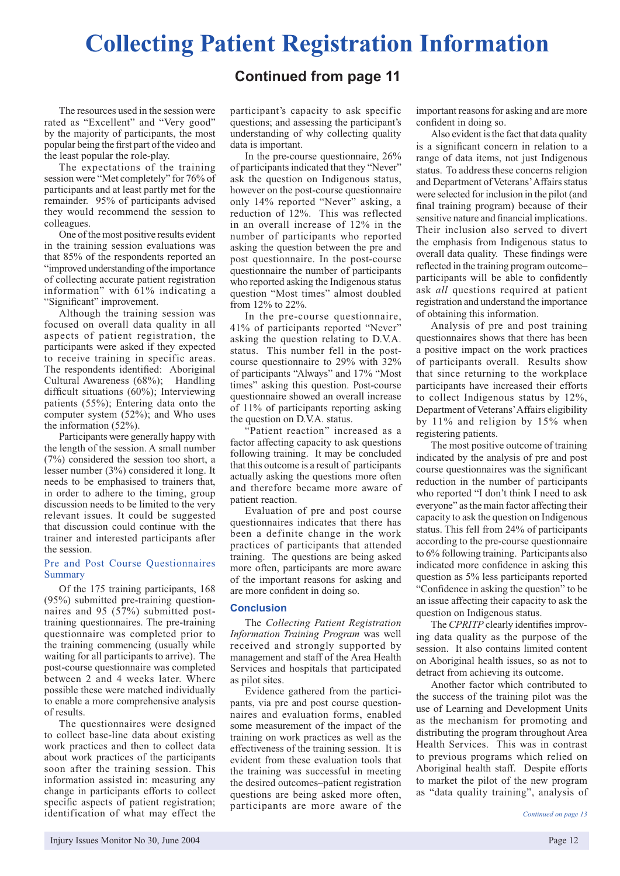## **Collecting Patient Registration Information**

**Continued from page 11**

The resources used in the session were rated as "Excellent" and "Very good" by the majority of participants, the most popular being the first part of the video and the least popular the role-play.

The expectations of the training session were "Met completely" for 76% of participants and at least partly met for the remainder. 95% of participants advised they would recommend the session to colleagues.

One of the most positive results evident in the training session evaluations was that 85% of the respondents reported an "improved understanding of the importance of collecting accurate patient registration information" with 61% indicating a "Significant" improvement.

Although the training session was focused on overall data quality in all aspects of patient registration, the participants were asked if they expected to receive training in specific areas. The respondents identified: Aboriginal Cultural Awareness (68%); Handling difficult situations (60%); Interviewing patients (55%); Entering data onto the computer system (52%); and Who uses the information (52%).

Participants were generally happy with the length of the session. A small number (7%) considered the session too short, a lesser number (3%) considered it long. It needs to be emphasised to trainers that, in order to adhere to the timing, group discussion needs to be limited to the very relevant issues. It could be suggested that discussion could continue with the trainer and interested participants after the session.

#### Pre and Post Course Questionnaires Summary

Of the 175 training participants, 168 (95%) submitted pre-training questionnaires and 95 (57%) submitted posttraining questionnaires. The pre-training questionnaire was completed prior to the training commencing (usually while waiting for all participants to arrive). The post-course questionnaire was completed between 2 and 4 weeks later. Where possible these were matched individually to enable a more comprehensive analysis of results.

The questionnaires were designed to collect base-line data about existing work practices and then to collect data about work practices of the participants soon after the training session. This information assisted in: measuring any change in participants efforts to collect specific aspects of patient registration; identification of what may effect the

participant's capacity to ask specific questions; and assessing the participant's understanding of why collecting quality data is important.

In the pre-course questionnaire, 26% of participants indicated that they "Never" ask the question on Indigenous status, however on the post-course questionnaire only 14% reported "Never" asking, a reduction of 12%. This was reflected in an overall increase of 12% in the number of participants who reported asking the question between the pre and post questionnaire. In the post-course questionnaire the number of participants who reported asking the Indigenous status question "Most times" almost doubled from 12% to 22%.

In the pre-course questionnaire, 41% of participants reported "Never" asking the question relating to D.V.A. status. This number fell in the postcourse questionnaire to 29% with 32% of participants "Always" and 17% "Most times" asking this question. Post-course questionnaire showed an overall increase of 11% of participants reporting asking the question on D.V.A. status.

"Patient reaction" increased as a factor affecting capacity to ask questions following training. It may be concluded that this outcome is a result of participants actually asking the questions more often and therefore became more aware of patient reaction.

Evaluation of pre and post course questionnaires indicates that there has been a definite change in the work practices of participants that attended training. The questions are being asked more often, participants are more aware of the important reasons for asking and are more confident in doing so.

#### **Conclusion**

The *Collecting Patient Registration Information Training Program* was well received and strongly supported by management and staff of the Area Health Services and hospitals that participated as pilot sites.

Evidence gathered from the participants, via pre and post course questionnaires and evaluation forms, enabled some measurement of the impact of the training on work practices as well as the effectiveness of the training session. It is evident from these evaluation tools that the training was successful in meeting the desired outcomes–patient registration questions are being asked more often, participants are more aware of the

important reasons for asking and are more confident in doing so.

Also evident is the fact that data quality is a significant concern in relation to a range of data items, not just Indigenous status. To address these concerns religion and Department of Veterans' Affairs status were selected for inclusion in the pilot (and final training program) because of their sensitive nature and financial implications. Their inclusion also served to divert the emphasis from Indigenous status to overall data quality. These findings were reflected in the training program outcome– participants will be able to confidently ask *all* questions required at patient registration and understand the importance of obtaining this information.

Analysis of pre and post training questionnaires shows that there has been a positive impact on the work practices of participants overall. Results show that since returning to the workplace participants have increased their efforts to collect Indigenous status by 12%, Department of Veterans' Affairs eligibility by 11% and religion by 15% when registering patients.

The most positive outcome of training indicated by the analysis of pre and post course questionnaires was the significant reduction in the number of participants who reported "I don't think I need to ask everyone" as the main factor affecting their capacity to ask the question on Indigenous status. This fell from 24% of participants according to the pre-course questionnaire to 6% following training. Participants also indicated more confidence in asking this question as 5% less participants reported "Confidence in asking the question" to be an issue affecting their capacity to ask the question on Indigenous status.

The *CPRITP* clearly identifies improving data quality as the purpose of the session. It also contains limited content on Aboriginal health issues, so as not to detract from achieving its outcome.

Another factor which contributed to the success of the training pilot was the use of Learning and Development Units as the mechanism for promoting and distributing the program throughout Area Health Services. This was in contrast to previous programs which relied on Aboriginal health staff. Despite efforts to market the pilot of the new program as "data quality training", analysis of

*Continued on page 13*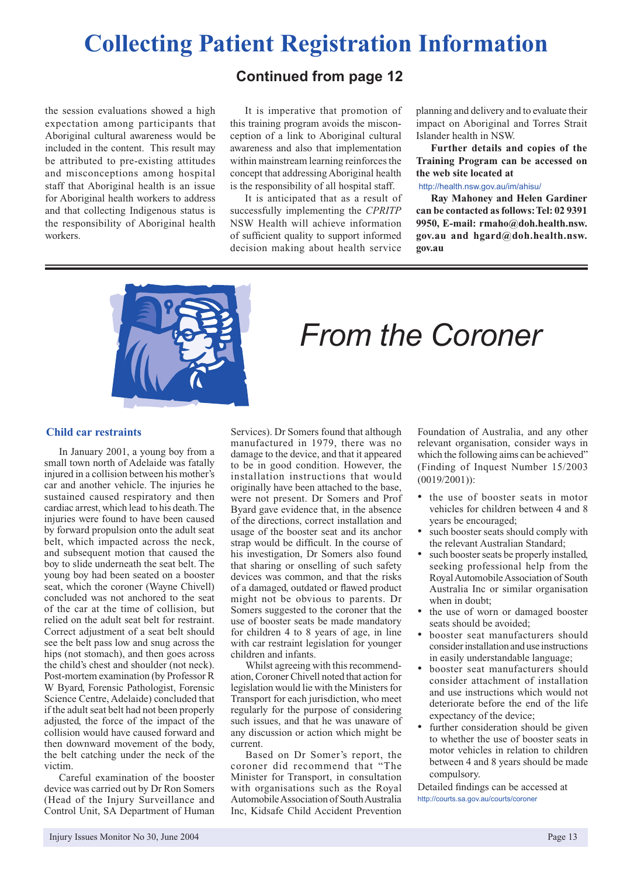## **Collecting Patient Registration Information**

**Continued from page 12**

the session evaluations showed a high expectation among participants that Aboriginal cultural awareness would be included in the content. This result may be attributed to pre-existing attitudes and misconceptions among hospital staff that Aboriginal health is an issue for Aboriginal health workers to address and that collecting Indigenous status is the responsibility of Aboriginal health workers.

It is imperative that promotion of this training program avoids the misconception of a link to Aboriginal cultural awareness and also that implementation within mainstream learning reinforces the concept that addressing Aboriginal health is the responsibility of all hospital staff.

It is anticipated that as a result of successfully implementing the *CPRITP* NSW Health will achieve information of sufficient quality to support informed decision making about health service

planning and delivery and to evaluate their impact on Aboriginal and Torres Strait Islander health in NSW.

**Further details and copies of the Training Program can be accessed on the web site located at**

#### http://health.nsw.gov.au/im/ahisu/

**Ray Mahoney and Helen Gardiner can be contacted as follows: Tel: 02 9391 9950, E-mail: rmaho@doh.health.nsw. gov.au and hgard@doh.health.nsw. gov.au**



## *From the Coroner*

#### **Child car restraints**

In January 2001, a young boy from a small town north of Adelaide was fatally injured in a collision between his mother's car and another vehicle. The injuries he sustained caused respiratory and then cardiac arrest, which lead to his death. The injuries were found to have been caused by forward propulsion onto the adult seat belt, which impacted across the neck, and subsequent motion that caused the boy to slide underneath the seat belt. The young boy had been seated on a booster seat, which the coroner (Wayne Chivell) concluded was not anchored to the seat of the car at the time of collision, but relied on the adult seat belt for restraint. Correct adjustment of a seat belt should see the belt pass low and snug across the hips (not stomach), and then goes across the child's chest and shoulder (not neck). Post-mortem examination (by Professor R W Byard, Forensic Pathologist, Forensic Science Centre, Adelaide) concluded that if the adult seat belt had not been properly adjusted, the force of the impact of the collision would have caused forward and then downward movement of the body, the belt catching under the neck of the victim.

Careful examination of the booster device was carried out by Dr Ron Somers (Head of the Injury Surveillance and Control Unit, SA Department of Human

Services). Dr Somers found that although manufactured in 1979, there was no damage to the device, and that it appeared to be in good condition. However, the installation instructions that would originally have been attached to the base, were not present. Dr Somers and Prof Byard gave evidence that, in the absence of the directions, correct installation and usage of the booster seat and its anchor strap would be difficult. In the course of his investigation, Dr Somers also found that sharing or onselling of such safety devices was common, and that the risks of a damaged, outdated or flawed product might not be obvious to parents. Dr Somers suggested to the coroner that the use of booster seats be made mandatory for children 4 to 8 years of age, in line with car restraint legislation for younger children and infants.

Whilst agreeing with this recommendation, Coroner Chivell noted that action for legislation would lie with the Ministers for Transport for each jurisdiction, who meet regularly for the purpose of considering such issues, and that he was unaware of any discussion or action which might be current.

Based on Dr Somer's report, the coroner did recommend that "The Minister for Transport, in consultation with organisations such as the Royal Automobile Association of South Australia Inc, Kidsafe Child Accident Prevention

Foundation of Australia, and any other relevant organisation, consider ways in which the following aims can be achieved" (Finding of Inquest Number 15/2003 (0019/2001)):

- the use of booster seats in motor vehicles for children between 4 and 8 years be encouraged;
- such booster seats should comply with the relevant Australian Standard;
- such booster seats be properly installed. seeking professional help from the Royal Automobile Association of South Australia Inc or similar organisation when in doubt;
- the use of worn or damaged booster seats should be avoided;
- booster seat manufacturers should consider installation and use instructions in easily understandable language;
- booster seat manufacturers should consider attachment of installation and use instructions which would not deteriorate before the end of the life expectancy of the device;
- further consideration should be given to whether the use of booster seats in motor vehicles in relation to children between 4 and 8 years should be made compulsory.

Detailed findings can be accessed at http://courts.sa.gov.au/courts/coroner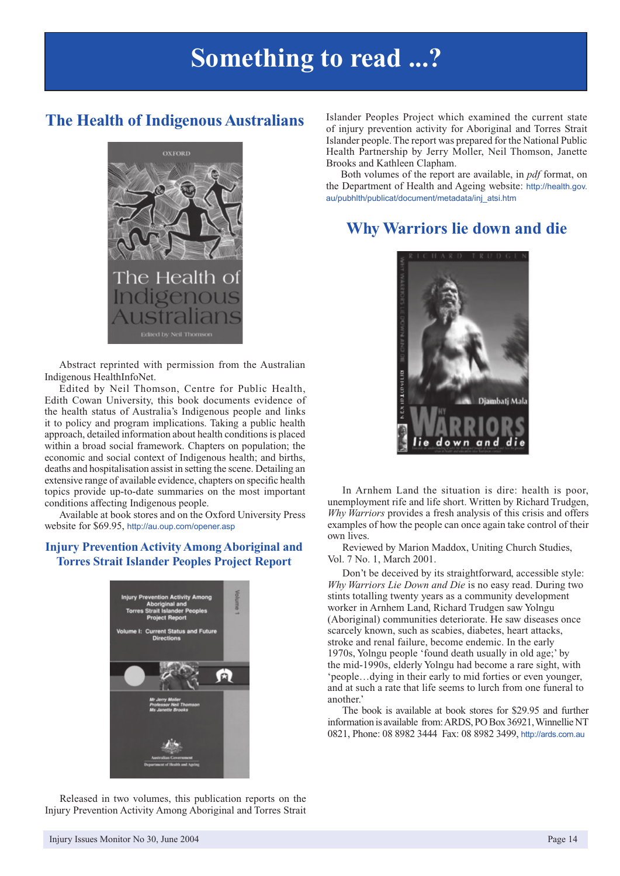## **Something to read ...?**

### **The Health of Indigenous Australians**



Abstract reprinted with permission from the Australian Indigenous HealthInfoNet.

Edited by Neil Thomson, Centre for Public Health, Edith Cowan University, this book documents evidence of the health status of Australia's Indigenous people and links it to policy and program implications. Taking a public health approach, detailed information about health conditions is placed within a broad social framework. Chapters on population; the economic and social context of Indigenous health; and births, deaths and hospitalisation assist in setting the scene. Detailing an extensive range of available evidence, chapters on specific health topics provide up-to-date summaries on the most important conditions affecting Indigenous people.

Available at book stores and on the Oxford University Press website for \$69.95, http://au.oup.com/opener.asp

#### **Injury Prevention Activity Among Aboriginal and Torres Strait Islander Peoples Project Report**



Released in two volumes, this publication reports on the Injury Prevention Activity Among Aboriginal and Torres Strait

Islander Peoples Project which examined the current state of injury prevention activity for Aboriginal and Torres Strait Islander people. The report was prepared for the National Public Health Partnership by Jerry Moller, Neil Thomson, Janette Brooks and Kathleen Clapham.

Both volumes of the report are available, in *pdf* format, on the Department of Health and Ageing website: http://health.gov. au/pubhlth/publicat/document/metadata/inj\_atsi.htm

### **Why Warriors lie down and die**



examples of how the people can once again take control of their In Arnhem Land the situation is dire: health is poor, unemployment rife and life short. Written by Richard Trudgen, *Why Warriors* provides a fresh analysis of this crisis and offers own lives.

Reviewed by Marion Maddox, Uniting Church Studies, Vol. 7 No. 1, March 2001.

Don't be deceived by its straightforward, accessible style: *Why Warriors Lie Down and Die* is no easy read. During two stints totalling twenty years as a community development worker in Arnhem Land, Richard Trudgen saw Yolngu (Aboriginal) communities deteriorate. He saw diseases once scarcely known, such as scabies, diabetes, heart attacks, stroke and renal failure, become endemic. In the early 1970s, Yolngu people 'found death usually in old age;' by the mid-1990s, elderly Yolngu had become a rare sight, with 'people…dying in their early to mid forties or even younger, and at such a rate that life seems to lurch from one funeral to another.'

The book is available at book stores for \$29.95 and further information is available from: ARDS, PO Box 36921, Winnellie NT 0821, Phone: 08 8982 3444 Fax: 08 8982 3499, http://ards.com.au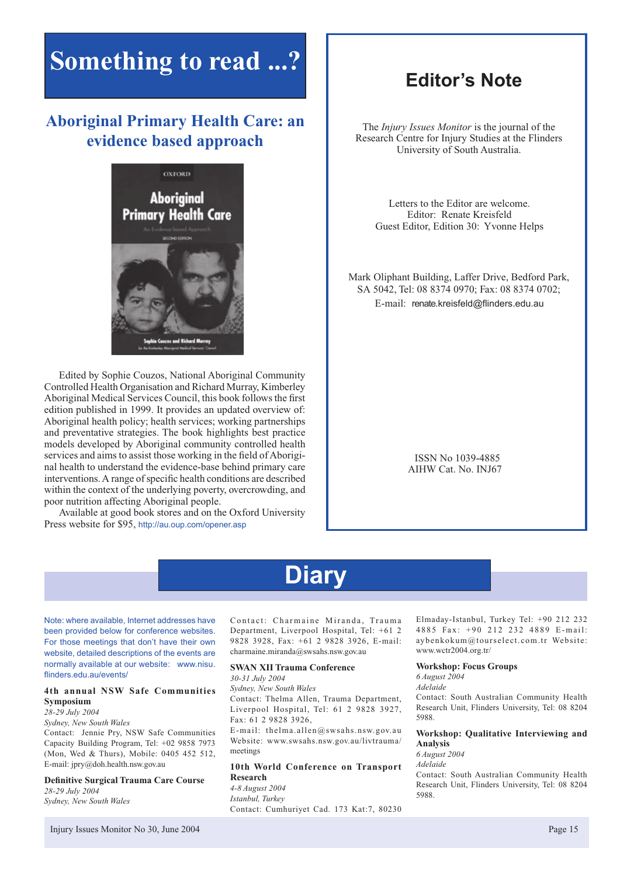## **Something to read ...?**

### **Aboriginal Primary Health Care: an evidence based approach**



Edited by Sophie Couzos, National Aboriginal Community Controlled Health Organisation and Richard Murray, Kimberley Aboriginal Medical Services Council, this book follows the first edition published in 1999. It provides an updated overview of: Aboriginal health policy; health services; working partnerships and preventative strategies. The book highlights best practice models developed by Aboriginal community controlled health services and aims to assist those working in the field of Aboriginal health to understand the evidence-base behind primary care interventions. A range of specific health conditions are described within the context of the underlying poverty, overcrowding, and poor nutrition affecting Aboriginal people.

Available at good book stores and on the Oxford University Press website for \$95, http://au.oup.com/opener.asp

### **Editor's Note**

The *Injury Issues Monitor* is the journal of the Research Centre for Injury Studies at the Flinders University of South Australia.

Letters to the Editor are welcome. Editor: Renate Kreisfeld Guest Editor, Edition 30: Yvonne Helps

Mark Oliphant Building, Laffer Drive, Bedford Park, SA 5042, Tel: 08 8374 0970; Fax: 08 8374 0702; E-mail: renate.kreisfeld@flinders.edu.au

> ISSN No 1039-4885 AIHW Cat. No. INJ67

## **Diary**

Note: where available, Internet addresses have been provided below for conference websites. For those meetings that don't have their own website, detailed descriptions of the events are normally available at our website: www.nisu. flinders.edu.au/events/

#### **4th annual NSW Safe Communities Symposium**

*28-29 July 2004*

*Sydney, New South Wales*

Contact: Jennie Pry, NSW Safe Communities Capacity Building Program, Tel: +02 9858 7973 (Mon, Wed & Thurs), Mobile: 0405 452 512, E-mail: jpry@doh.health.nsw.gov.au

**Definitive Surgical Trauma Care Course** *28-29 July 2004 Sydney, New South Wales*

Contact: Charmaine Miranda, Trauma Department, Liverpool Hospital, Tel: +61 2 9828 3928, Fax: +61 2 9828 3926, E-mail: charmaine.miranda@swsahs.nsw.gov.au

#### **SWAN XII Trauma Conference**

*30-31 July 2004* 

*Sydney, New South Wales*

Contact: Thelma Allen, Trauma Department, Liverpool Hospital, Tel: 61 2 9828 3927, Fax: 61 2 9828 3926,

E-mail: thelma.allen@swsahs.nsw.gov.au Website: www.swsahs.nsw.gov.au/livtrauma/ meetings

#### **10th World Conference on Transport Research**

*4-8 August 2004 Istanbul, Turkey* Contact: Cumhuriyet Cad. 173 Kat:7, 80230 Elmaday-Istanbul, Turkey Tel: +90 212 232 4885 Fax: +90 212 232 4889 E-mail: aybenkokum@tourselect.com.tr Website: www.wctr2004.org.tr/

#### **Workshop: Focus Groups**

*6 August 2004 Adelaide* Contact: South Australian Community Health Research Unit, Flinders University, Tel: 08 8204 5988.

#### **Workshop: Qualitative Interviewing and Analysis**

*6 August 2004 Adelaide*

Contact: South Australian Community Health Research Unit, Flinders University, Tel: 08 8204 5988.